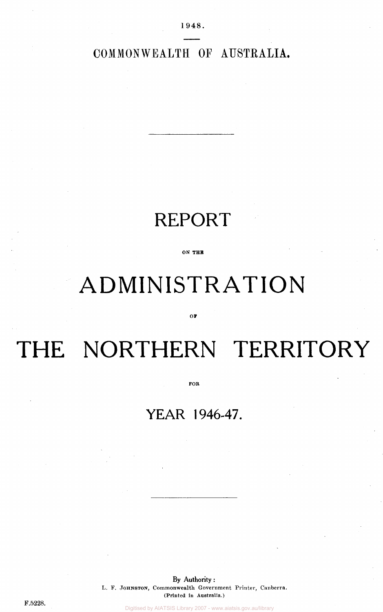COMMONWEALTH OF AUSTRALIA.

### REPORT

**ON THE** 

## ADMINISTRATION

**OF** 

# THE NORTHERN TERRITORY

**FOB** 

### **YEAR 1946-47.**

By Authority: L. F. JOHNSTON, Commonwealth Government Printer, Canberra. (Printed In Australia.)

F.5228.

Digitised by AIATSIS Library 2007 - www.aiatsis.gov.au/library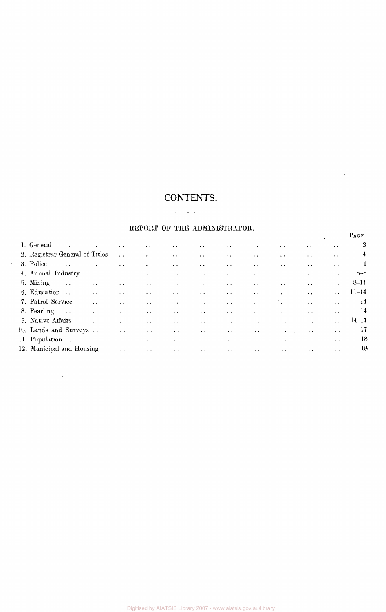## CONTENTS.

 $\mathcal{L}^{\text{max}}$ 

#### REPORT OF THE ADMINISTRATOR.

PAGE.

 $\ddot{\phantom{0}}$ 

|                                     |                                                           |                      |                        |                        |                        |               |                        |                      |                                                | PAGE.                   |
|-------------------------------------|-----------------------------------------------------------|----------------------|------------------------|------------------------|------------------------|---------------|------------------------|----------------------|------------------------------------------------|-------------------------|
| 1. General<br>$\dddot{\phantom{0}}$ | $\sim$ .                                                  | $\ddot{\phantom{a}}$ | $\sim$ $\sim$          | $\ddot{\phantom{0}}$   | $\sim$ $\sim$          | $\sim$ $\sim$ | $\ddot{\phantom{a}}$ . | $\ddot{\phantom{0}}$ | $\ddotsc$<br>$\ddot{\phantom{1}}$ .            | 3                       |
| 2. Registrar-General of Titles      |                                                           | $\sim$ $\sim$        | $\ddot{\phantom{a}}$ . | $\sim$ $\sim$          | $\sim$ $\sim$          | $\sim$ $\sim$ | $\sim$ $\sim$          | $\sim$ $\sim$        | $\sim$ $\sim$<br>$\sim$ $\sim$                 | $\overline{\mathbf{f}}$ |
| 3. Police<br>$\ddotsc$              | $\ddot{\phantom{a}}$                                      | $\sim$ $\sim$        | $\sim$ $\sim$          | $\ddot{\phantom{a}}$ . | $\ddot{\phantom{a}}$ . | $\sim$ $\sim$ | $\sim$ $\sim$          | $\ddot{\phantom{a}}$ | $\ddot{\phantom{a}}$ .<br>$\sim$ $\sim$        | $\ddagger$              |
| 4. Animal Industry                  | $\ddot{\phantom{a}}$ .                                    | $\ddot{\phantom{0}}$ | $\ddot{\phantom{a}}$   | $\ddot{\phantom{a}}$ . | $\sim$ $\sim$          | $\sim$ $\sim$ | $\sim$ $\sim$          | $\ddot{\phantom{a}}$ | $\sim$ $\sim$<br>$\ddot{\phantom{a}}$          | $5 - 8$                 |
| 5. Mining<br>$\sim$ $\sim$          | $\sim$ $\sim$                                             | $\sim$ $\sim$        | $\sim$ $\sim$          | $\sim$ $\sim$          | $\ddot{\phantom{0}}$ . | $\sim$ $\sim$ | $\sim$ $\sim$          | $\sim$ $\sim$        | $\sim$ $\sim$<br>$\ddot{\phantom{0}}$          | $8 - 11$                |
| 6. Education<br>$\sim 1$            | $\ddot{\phantom{a}}$                                      | $\ddot{\phantom{0}}$ | $\sim$ $\sim$          | $\ddot{\phantom{a}}$ . | $\sim$ $\sim$          | $\ddotsc$     | $\ddot{\phantom{a}}$ . | $\ddot{\phantom{0}}$ | $\ddot{\phantom{a}}$<br>$\ddot{\phantom{a}}$   | $11 - 14$               |
| 7. Patrol Service                   | $\sim$ $\sim$                                             | $\ddotsc$            | $\sim$ $\sim$          | $\sim$ $\sim$          | $\sim$ $\sim$          | $\sim$ $\sim$ | $\sim$ $\sim$          | 144                  | $\ddot{\phantom{a}}$<br>$\sim$ $\sim$          | 14                      |
| 8. Pearling<br>$\sim 100$           | $\sim$ $\sim$                                             | $\sim$ $\sim$        | $\sim$ $\sim$          | $\sim$ $\sim$          | $\sim$ $\sim$          | $\sim$ $\sim$ | $\sim$ $\sim$          | $\sim$ $\sim$        | $\ddot{\phantom{0}}$<br>$\ddot{\phantom{0}}$   | -14                     |
| 9. Native Affairs                   | $\mathbb{Z}^{\mathbb{Z}}$                                 | $\sim$ $\sim$        | $\sim$ $\sim$          | $\ddot{\phantom{1}}$ . | $\sim$ $\sim$          | $\sim 10^7$   | $\sim$ $\sim$          | $\ddotsc$            | $\ddot{\phantom{a}}$ .<br>$\sim$ $\sim$        | $14 - 17$               |
| 10. Lands and Surveys               |                                                           | $\sim$ $\times$      | $\sim$ $\sim$          | $\sim$ $\sim$          | $\sim$                 | $\sim$ $\sim$ | $\ddot{\phantom{1}}$ . | $\sim$ $\sim$        | $\sim$ $\sim$<br>$\ddotsc$                     | 17                      |
| 11. Population                      | $\mathcal{L}^{\text{max}}$ and $\mathcal{L}^{\text{max}}$ | $\sim$ $\sim$        | $\sim$ $\sim$          | $\sim$ $\sim$          | $\sim$ $\sim$          | $\sim$ $\sim$ | $\sim$ $\sim$          | $\sim$ $\sim$        | $\ddotsc$<br>$\ddot{\phantom{a}}$ .            | 18                      |
| 12. Municipal and Housing           |                                                           | $\sim$ $\sim$        | $\sim$ $\sim$          | $\sim$ $\sim$          | $\sim$ $\sim$          | $\sim 10$     | $\sim$ $\sim$          | $\ddot{\phantom{a}}$ | $\ddot{\phantom{1}}$ .<br>$\ddot{\phantom{0}}$ | 18                      |
|                                     |                                                           |                      |                        |                        |                        |               |                        |                      |                                                |                         |
|                                     |                                                           |                      |                        |                        |                        |               |                        |                      |                                                |                         |

 $\sim$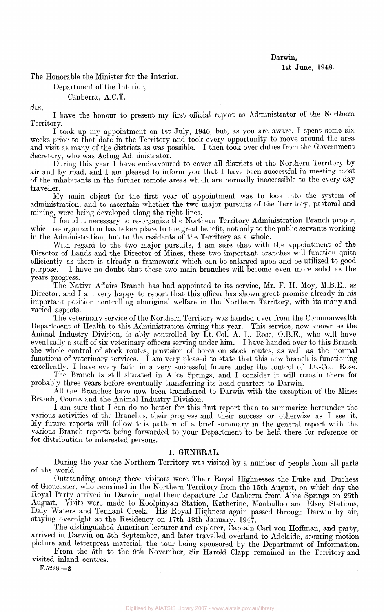#### Darwin,

1st June, 1948.

The Honorable the Minister for the Interior,

Department of the Interior,

#### Canberra, A.C.T.

SIR,

I have the honour to present my first official report as Administrator of the Northern Territory.

I took up my appointment on 1st July, 1946, but, as you are aware, I spent some six weeks prior to that date in the Territory and took every opportunity to move around the area and visit as many of the districts as was possible. I then took over duties from the Government Secretary, who was Acting Administrator.

During this year I have endeavoured to cover all districts of the Northern Territory by air and by road, and I am pleased to inform you that I have been successful in meeting most of the inhabitants in the further remote areas which are normally inaccessible to the every-day traveller.

My main object for the first year of appointment was to look into the system of administration, and to ascertain whether the two major pursuits of the Territory, pastoral and mining, were being developed along the right lines.

I found it necessary to re-organize the Northern Territory Administration Branch proper, which re-organization has taken place to the great benefit, not only to the public servants working in the Administration, but to the residents of the Territory as a whole.

With regard to the two major pursuits, I am sure that with the appointment of the Director of Lands and the Director of Mines, these two important branches will function quite efficiently as there is already a framework which can be enlarged upon and be utilized to good purpose. I have no doubt that these two main branches will become even more solid as the years progress.

The Native Affairs Branch has had appointed to its service, Mr. F. H. Moy, M.B.E., as Director, and I am very happy to report that this officer has shown great promise already in his important position controlling aboriginal welfare in the Northern Territory, with its many and varied aspects.

The veterinary service of the Northern Territory was handed over from the Commonwealth Department of Health to this Administration during this year. This service, now known as the Animal Industry Division, is ably controlled by Lt.-Col. A. L. Rose, O.B.E., who will have eventually a staff of six veterinary officers serving under him. I have handed over to this Branch the whole control of stock routes, provision of bores on stock routes, as well as the normal functions of veterinary services. I am very pleased to state that this new branch is functioning excellently. I have every faith in a very successful future under the control of Lt.-Col. Rose.

The Branch is still situated in Alice Springs, and I consider it will remain there for probably three years before eventually transferring its head-quarters to Darwin.

All the Branches have now been transferred to Darwin with the exception of the Mines Branch, Courts and the Animal Industry Division.

I am sure that I can do no better for this first report than to summarize hereunder the various activities of the Branches, their progress and their success or otherwise as I see it. My future reports will follow this pattern of a brief summary in the general report with the various Branch reports being forwarded to your Department to be held there for reference or for distribution to interested persons.

#### 1. GENERAL.

During the year the Northern Territory was visited by a number of people from all parts of the world.

Outstanding among these visitors were Their Royal Highnesses the Duke and Duchess of Gloucester, who remained in the Northern Territory from the 15th August, on which day the Royal Party arrived in Darwin, until their departure for Canberra from Alice Springs on 25th August. Visits were made to Koolpinyah Station, Katherine, Manbulloo and Elsey Stations, Daly Waters and Tennant Creek. His Royal Highness again passed through Darwin by air, staying overnight at the Residency on 17th-18th January, 1947.

The distinguished American lecturer and explorer, Captain Carl von Hoffman, and party, arrived in Darwin on 5th September, and later travelled overland to Adelaide, securing motion picture and letterpress material, the tour being sponsored by the Department of Information.

From the 5th to the 9th November, Sir Harold Clapp remained in the Territory and visited inland centres.

F.5228.—2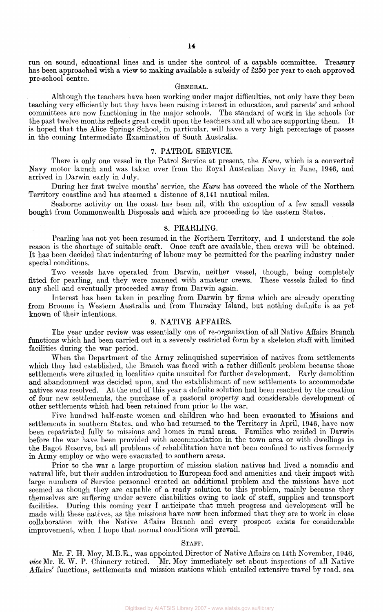run on sound, educational lines and is under the control of a capable committee. Treasury has been approached with a view to making available a subsidy of £250 per year to each approved pre-school centre.

#### GENERAL.

Although the teachers have been working under major difficulties, not only have they been teaching very efficiently but they have been raising interest in education, and parents' and school committees are now functioning in the major schools. The standard of work in the schools for the past twelve months reflects great credit upon the teachers and all who are supporting them. It is hoped that the Alice Springs School, in particular, will have a very high percentage of passes in the coming Intermediate Examination of South Australia.

#### 7. PATROL SERVICE.

There is only one vessel in the Patrol Service at present, the *Kuru,* which is a converted Navy motor launch and was taken over from the Royal Australian Navy in June, 1946, and arrived in Darwin early in July.

During her first twelve months' service, the *Kuru* has covered the whole of the Northern Territory coastline and has steamed a distance of 8,141 nautical miles.

Seaborne activity on the coast has been nil, with the exception of a few small vessels bought from Commonwealth Disposals and which are proceeding to the eastern States.

#### 8. PEARLING.

Pearling has not yet been resumed in the Northern Territory, and I understand the sole reason is the shortage of suitable craft. Once craft are available, then crews will be obtained. It has been decided that indenturing of labour may be permitted for the pearling industry under special conditions.

Two vessels have operated from Darwin, neither vessel, though, being completely fitted for pearling, and they were manned with amateur crews. These vessels failed to find any shell and eventually proceeded away from Darwin again.

Interest has been taken in pearling from Darwin by firms which are already operating from Broome in Western Australia and from Thursday Island, but nothing definite is as yet known of their intentions.

#### 9. NATIVE AFFAIRS.

The year under review was essentially one of re-organization of all Native Affairs Branch functions which had been carried out in a severely restricted form by a skeleton staff with limited facilities during the war period.

When the Department of the Army relinquished supervision of natives from settlements which they had established, the Branch was faced with a rather difficult problem because those settlements were situated in localities quite unsuited for further development. Early demolition and abandonment was decided upon, and the establishment of new settlements to accommodate natives was resolved. At the end of this year a definite solution had been reached by the creation of four new settlements, the purchase of a pastoral property and considerable development of other settlements which had been retained from prior to the war.

Five hundred half-caste women and children who had been evacuated to Missions and settlements in southern States, and who had returned to the Territory in April, 1946, have now been repatriated fully to missions and homes in rural areas. Families who resided in Darwin before the war have been provided with accommodation in the town area or with dwellings in the Bagot Reserve, but all problems of rehabilitation have not been confined to natives formerly in Army employ or who were evacuated to southern areas.

Prior to the war a large proportion of mission station natives had lived a nomadic and natural life, but their sudden introduction to European food and amenities and their impact with large numbers of Service personnel created an additional problem and the missions have not seemed as though they are capable of a ready solution to this problem, mainly because they themselves are suffering under severe disabilities owing to lack of staff, supplies and transport facilities. During this coming year I anticipate that much progress and development will be made with these natives, as the missions have now been informed that they are to work in close collaboration with the Native Affairs Branch and every prospect exists for considerable improvement, when I hope that normal conditions will prevail.

#### STAFF.

Mr. F. H. Moy, M.B.E., was appointed Director of Native Affairs on 14th November, 1946, *vice* Mr. E. W. P. Chinnery retired. Mr. Moy immediately set about inspections of all Native Affairs' functions, settlements and mission stations which entailed extensive travel by road, sea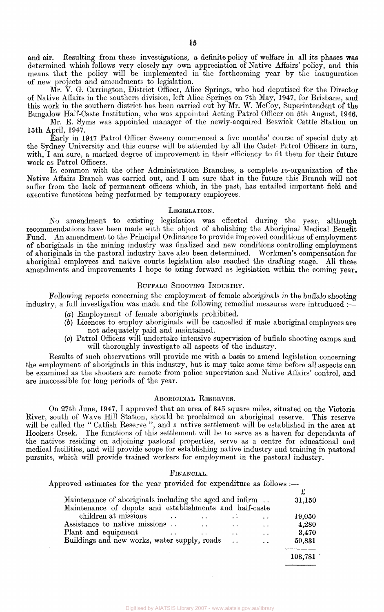and air. Resulting from these investigations, a definite policy of welfare in all its phases was determined which follows very closely my own appreciation of Native Affairs' policy, and this means that the policy will be implemented in the forthcoming year by the inauguration of new projects and amendments to legislation.

Mr. V. G. Carrington, District Officer, Alice Springs, who had deputised for the Director of Native Affairs in the southern division, left Alice Springs on 7th May, 1947, for Brisbane, and this work in the southern district has been carried out by Mr. W. McCoy, Superintendent of the Bungalow Half-Caste Institution, who was appointed Acting Patrol Officer on 5th August, 1946.

Mr. E. Syms was appointed manager of the newly-acquired Beswick Cattle Station on 15th April, 1947.

Early in 1947 Patrol Officer Sweeny commenced a five months' course of special duty at the Sydney University and this course will be attended by all the Cadet Patrol Officers in turn, with, I am sure, a marked degree of improvement in their efficiency to fit them for their future work as Patrol Officers.

In common with the other Administration Branches, a complete re-organization of the Native Affairs Branch was carried out, and I am sure that in the future this Branch will not suffer from the lack of permanent officers which, in the past, has entailed important field and executive functions being performed by temporary employees.

#### LEGISLATION.

No amendment to existing legislation was effected during the year, although recommendations have been made with the object of abolishing the Aboriginal Medical Benefit Fund. An amendment to the Principal Ordinance to provide improved conditions of employment of aboriginals in the mining industry was finalized and new conditions controlling employment of aboriginals in the pastoral industry have also been determined. Workmen's compensation for aboriginal employees and native courts legislation also reached the drafting stage. All these amendments and improvements I hope to bring forward as legislation within the coming year.

#### BUFFALO SHOOTING INDUSTRY.

Following reports concerning the employment of female aboriginals in the buffalo shooting industry, a full investigation was made and the following remedial measures were introduced :-

- *(a)* Employment of female aboriginals prohibited.
- *(b)* Licences to employ aboriginals will be cancelled if male aboriginal employees are not adequately paid and maintained.
- (c) Patrol Officers will undertake intensive supervision of buffalo shooting camps and will thoroughly investigate all aspects of the industry.

Results of such observations will provide me with a basis to amend legislation concerning the employment of aboriginals in this industry, but it may take some time before all aspects can be examined as the shooters are remote from police supervision and Native Affairs' control, and are inaccessible for long periods of the year.

#### ABORIGINAL RESERVES.

On 27th June, 1947, I approved that an area of 845 square miles, situated on the Victoria River, south of Wave Hill Station, should be proclaimed an aboriginal reserve. This reserve will be called the " Catfish Reserve ", and a native settlement will be established in the area at Hookers Creek. The functions of this settlement will be to serve as a haven for dependants of the natives residing on adjoining pastoral properties, serve as a centre for educational and medical facilities, and will provide scope for establishing native industry and training in pastoral pursuits, which will provide trained workers for employment in the pastoral industry.

#### FINANCIAL.

Approved estimates for the year provided for expenditure as follows :—

| Maintenance of aboriginals including the aged and infirm |                      |                      |         |  |  |  |  |
|----------------------------------------------------------|----------------------|----------------------|---------|--|--|--|--|
| Maintenance of depots and establishments and half-caste  |                      |                      |         |  |  |  |  |
| children at missions                                     |                      |                      | 19,050  |  |  |  |  |
| Assistance to native missions                            | $\ddot{\phantom{a}}$ | $\ddot{\phantom{a}}$ | 4,280   |  |  |  |  |
| Plant and equipment                                      | $\ddot{\phantom{0}}$ | $\ddot{\phantom{a}}$ | 3,470   |  |  |  |  |
| Buildings and new works, water supply, roads             |                      | $\ddot{\phantom{0}}$ | 50,831  |  |  |  |  |
|                                                          |                      |                      | 108,781 |  |  |  |  |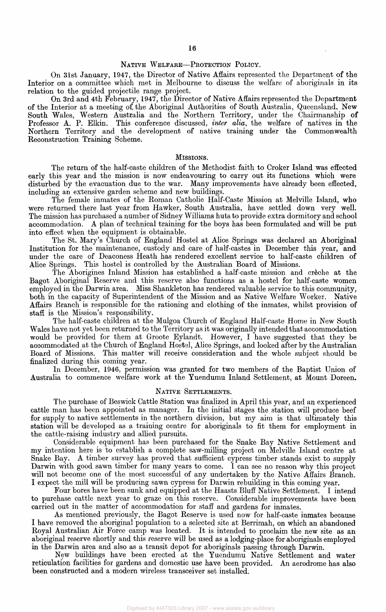#### NATIVE WELFARE—PROTECTION POLICY.

On 31st January, 1947, the Director of Native Affairs represented the Department of the Interior on a committee which met in Melbourne to discuss the welfare of aboriginals in its relation to the guided projectile range project.

On 3rd and 4th February, 1947, the Director of Native Affairs represented the Department of the Interior at a meeting of the Aboriginal Authorities of South Australia, Queensland, New South Wales, Western Australia and the Northern Territory, under the Chairmanship of Professor A. P. Elkin. This conference discussed, *inter alia,* the welfare of natives in the Northern Territory and the development of native training under the Commonwealth Reconstruction Training Scheme.

#### MISSIONS.

The return of the half-caste children of the Methodist faith to Croker Island was effected early this year and the mission is now endeavouring to carry out its functions which were disturbed by the evacuation due to the war. Many improvements have already been effected, including an extensive garden scheme and new buildings.

The female inmates of the Roman Catholic Half-Caste Mission at Melville Island, who were returned there last year from Hawker, South Australia, have settled down very well. The mission has purchased a number of Sidney Williams huts to provide extra dormitory and school accommodation. A plan of technical training for the boys has been formulated and will be put into effect when the equipment is obtainable.

The St. Mary's Church of England Hostel at Alice Springs was declared an Aboriginal Institution for the maintenance, custody and care of half-castes in December this year, and under the care of Deaconess Heath has rendered excellent service to half-caste children of Alice Springs. This hostel is controlled by the Australian Board of Missions.

The Aborigines Inland Mission has established a half-caste mission and creche at the Bagot Aboriginal Reserve and this reserve also functions as a hostel for half-caste women employed in the Darwin area. Miss Shankleton has rendered valuable service to this community, both in the capacity of Superintendent of the Mission and as Native Welfare Worker. Native Affairs Branch is responsible for the rationing and clothing of the inmates, whilst provision of staff is the Mission's responsibility.

The half-caste children at the Mulgoa Church of England Half-caste Home in New South Wales have not yet been returned to the Territory as it was originally intended that accommodation would be provided for them at Groote Eylandt. However, I have suggested that they be accommodated at the Church of England Hostel, Alice Springs, and looked after by the Australian Board of Missions. This matter will receive consideration and the whole subject should be finalized during this coming year.

In December, 1946, permission was granted for two members of the Baptist Union of Australia to commence welfare work at the Yuendumu Inland Settlement, at Mount Doreen.

#### NATIVE SETTLEMENTS.

The purchase of Beswick Cattle Station was finalized in April this year, and an experienced cattle man has been appointed as manager. In the initial stages the station will produce beef for supply to native settlements in the northern division, but my aim is that ultimately this station will be developed as a training centre for aboriginals to fit them for employment in the cattle-raising industry and allied pursuits.

Considerable equipment has been purchased for the Snake Bay Native Settlement and my intention here is to establish a complete saw-milling project on Melville Island centre at Snake Bay. A timber survey has proved that sufficient cypress timber stands exist to supply Darwin with good sawn timber for many years to come. I can see no reason why this project will not become one of the most successful of any undertaken by the Native Affairs Branch. I expect the mill will be producing sawn cypress for Darwin rebuilding in this coming year.

Four bores have been sunk and equipped at the Haasts Bluff Native Settlement. I intend to purchase cattle next year to graze on this reserve. Considerable improvements have been carried out in the matter of accommodation for staff and gardens for inmates.

As mentioned previously, the Bagot Reserve is used now for half-caste inmates because I have removed the aboriginal population to a selected site at Berrimah, on which an abandoned Royal Australian Air Force camp was located. It is intended to proclaim the new site as an aboriginal reserve shortly and this reserve will be used as a lodging-place for aboriginals employed in the Darwin area and also as a transit depot for aboriginals passing through Darwin.

New buildings have been erected at the Yuendumu Native Settlement and water reticulation facilities for gardens and domestic use have been provided. An aerodrome has also been constructed and a modern wireless transceiver set installed.